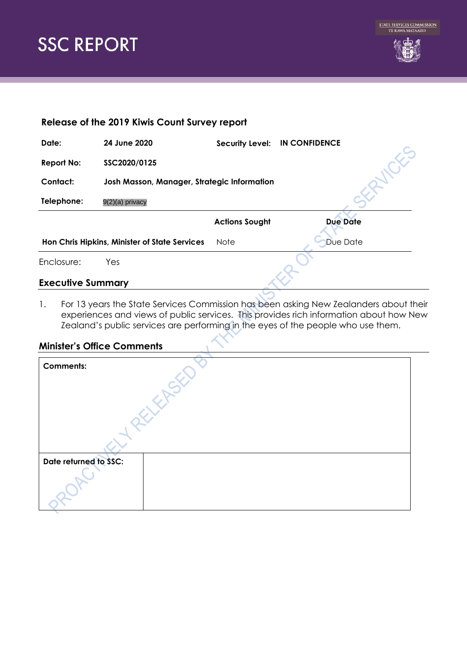



| Release of the 2019 Kiwis Count Survey report |                                             |                        |                      |  |  |
|-----------------------------------------------|---------------------------------------------|------------------------|----------------------|--|--|
| Date:                                         | 24 June 2020                                | <b>Security Level:</b> | <b>IN CONFIDENCE</b> |  |  |
| <b>Report No:</b>                             | SSC2020/0125                                |                        |                      |  |  |
| Contact:                                      | Josh Masson, Manager, Strategic Information |                        |                      |  |  |
| Telephone:                                    | 9(2)(a) privacy                             |                        |                      |  |  |
|                                               |                                             | <b>Actions Sought</b>  | <b>Due Date</b>      |  |  |
| Hon Chris Hipkins, Minister of State Services |                                             | Note                   | Due Date             |  |  |
| Enclosure:                                    | Yes                                         |                        |                      |  |  |
| <b>Executive Summary</b>                      |                                             |                        |                      |  |  |
|                                               |                                             |                        |                      |  |  |

1. For 13 years the State Services Commission has been asking New Zealanders about their experiences and views of public services. This provides rich information about how New Zealand's public services are performing in the eyes of the people who use them.

#### **Minister's Office Comments**

| <b>Comments:</b>      |  |
|-----------------------|--|
| Date returned to SSC: |  |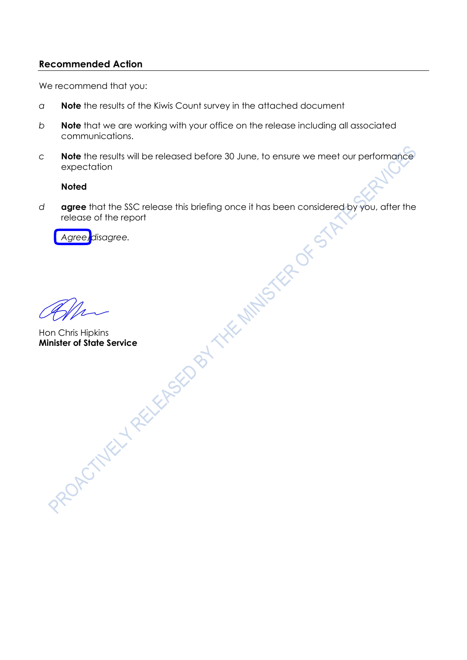### **Recommended Action**

We recommend that you:

- *a* **Note** the results of the Kiwis Count survey in the attached document
- *b* **Note** that we are working with your office on the release including all associated communications.
- *c* **Note** the results will be released before 30 June, to ensure we meet our performance expectation

#### **Noted**

*d* **agree** that the SSC release this briefing once it has been considered by you, after the release of the report

*Agree/disagree.*

Hon Chris Hipkins **Minister of State Service**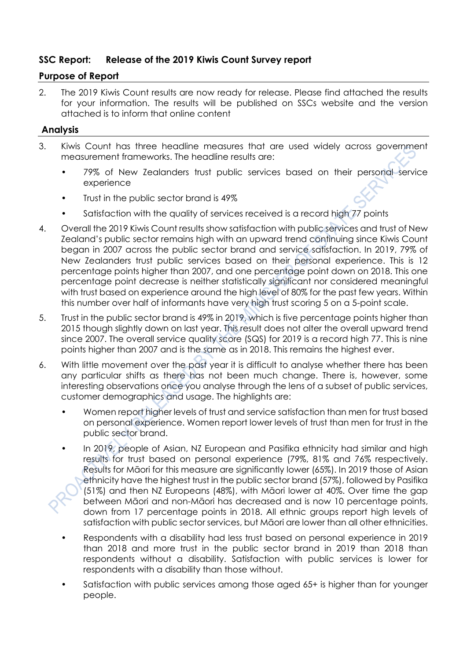# **SSC Report: Release of the 2019 Kiwis Count Survey report**

# **Purpose of Report**

2. The 2019 Kiwis Count results are now ready for release. Please find attached the results for your information. The results will be published on SSCs website and the version attached is to inform that online content

# **Analysis**

- 3. Kiwis Count has three headline measures that are used widely across government measurement frameworks. The headline results are:
	- 79% of New Zealanders trust public services based on their personal service experience
	- Trust in the public sector brand is 49%
	- Satisfaction with the quality of services received is a record high 77 points
- 4. Overall the 2019 Kiwis Count results show satisfaction with public services and trust of New Zealand's public sector remains high with an upward trend continuing since Kiwis Count began in 2007 across the public sector brand and service satisfaction. In 2019, 79% of New Zealanders trust public services based on their personal experience. This is 12 percentage points higher than 2007, and one percentage point down on 2018. This one percentage point decrease is neither statistically significant nor considered meaningful with trust based on experience around the high level of 80% for the past few years. Within this number over half of informants have very high trust scoring 5 on a 5-point scale.
- 5. Trust in the public sector brand is 49% in 2019, which is five percentage points higher than 2015 though slightly down on last year. This result does not alter the overall upward trend since 2007. The overall service quality score (SQS) for 2019 is a record high 77. This is nine points higher than 2007 and is the same as in 2018. This remains the highest ever.
- 6. With little movement over the past year it is difficult to analyse whether there has been any particular shifts as there has not been much change. There is, however, some interesting observations once you analyse through the lens of a subset of public services, customer demographics and usage. The highlights are:
	- Women report higher levels of trust and service satisfaction than men for trust based on personal experience. Women report lower levels of trust than men for trust in the public sector brand.
	- In 2019, people of Asian, NZ European and Pasifika ethnicity had similar and high results for trust based on personal experience (79%, 81% and 76% respectively. Results for Māori for this measure are significantly lower (65%). In 2019 those of Asian ethnicity have the highest trust in the public sector brand (57%), followed by Pasifika (51%) and then NZ Europeans (48%), with Māori lower at 40%. Over time the gap between Māori and non-Māori has decreased and is now 10 percentage points, down from 17 percentage points in 2018. All ethnic groups report high levels of satisfaction with public sector services, but Māori are lower than all other ethnicities.
	- Respondents with a disability had less trust based on personal experience in 2019 than 2018 and more trust in the public sector brand in 2019 than 2018 than respondents without a disability. Satisfaction with public services is lower for respondents with a disability than those without.
	- Satisfaction with public services among those aged 65+ is higher than for younger people.